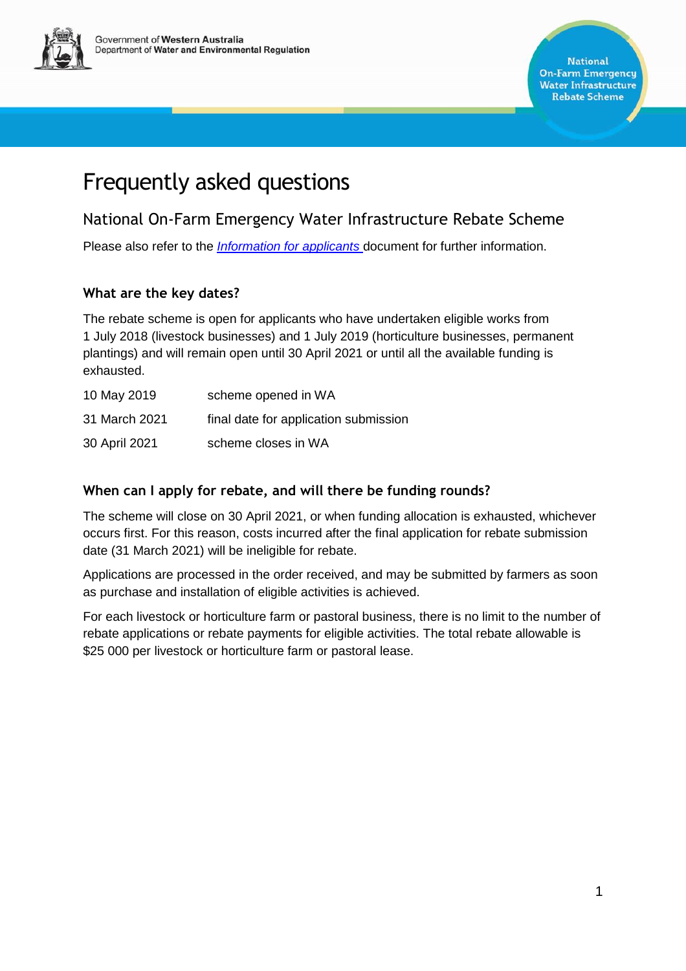

# Frequently asked questions

## National On-Farm Emergency Water Infrastructure Rebate Scheme

Please also refer to the *[Information for applicants](https://www.water.wa.gov.au/planning-for-the-future/rural-water-support/on-farm-emergency-water-infrastructure-rebate)* document for further information.

## **What are the key dates?**

The rebate scheme is open for applicants who have undertaken eligible works from 1 July 2018 (livestock businesses) and 1 July 2019 (horticulture businesses, permanent plantings) and will remain open until 30 April 2021 or until all the available funding is exhausted.

| 10 May 2019   | scheme opened in WA                   |
|---------------|---------------------------------------|
| 31 March 2021 | final date for application submission |
| 30 April 2021 | scheme closes in WA                   |

## **When can I apply for rebate, and will there be funding rounds?**

The scheme will close on 30 April 2021, or when funding allocation is exhausted, whichever occurs first. For this reason, costs incurred after the final application for rebate submission date (31 March 2021) will be ineligible for rebate.

Applications are processed in the order received, and may be submitted by farmers as soon as purchase and installation of eligible activities is achieved.

For each livestock or horticulture farm or pastoral business, there is no limit to the number of rebate applications or rebate payments for eligible activities. The total rebate allowable is \$25 000 per livestock or horticulture farm or pastoral lease.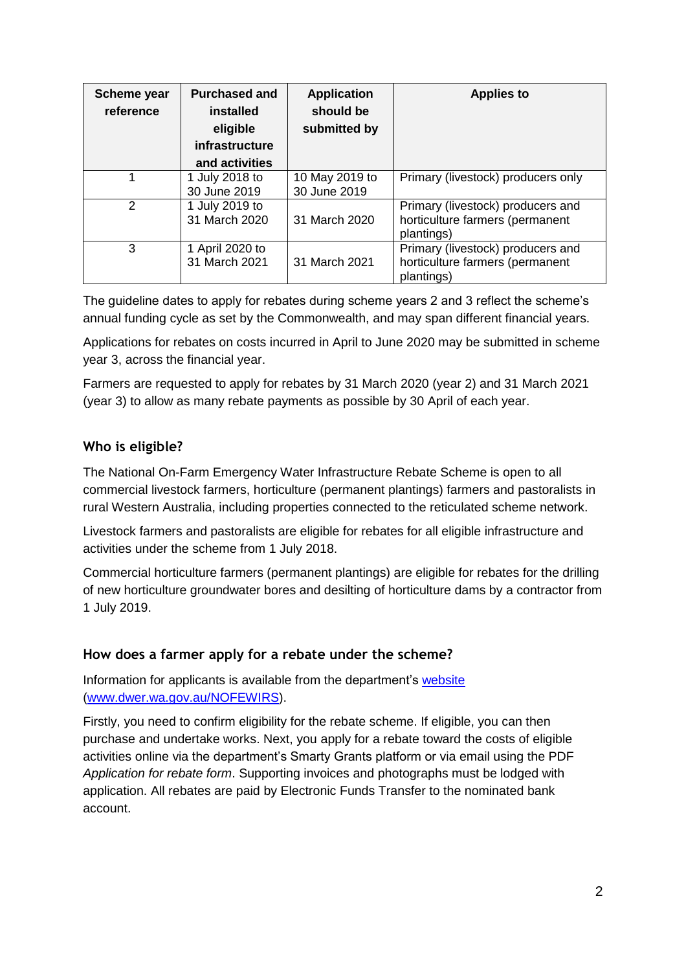| Scheme year<br>reference | <b>Purchased and</b><br>installed<br>eligible<br>infrastructure<br>and activities | <b>Application</b><br>should be<br>submitted by | <b>Applies to</b>                                                                  |
|--------------------------|-----------------------------------------------------------------------------------|-------------------------------------------------|------------------------------------------------------------------------------------|
|                          | 1 July 2018 to<br>30 June 2019                                                    | 10 May 2019 to<br>30 June 2019                  | Primary (livestock) producers only                                                 |
| 2                        | 1 July 2019 to<br>31 March 2020                                                   | 31 March 2020                                   | Primary (livestock) producers and<br>horticulture farmers (permanent<br>plantings) |
| 3                        | 1 April 2020 to<br>31 March 2021                                                  | 31 March 2021                                   | Primary (livestock) producers and<br>horticulture farmers (permanent<br>plantings) |

The guideline dates to apply for rebates during scheme years 2 and 3 reflect the scheme's annual funding cycle as set by the Commonwealth, and may span different financial years.

Applications for rebates on costs incurred in April to June 2020 may be submitted in scheme year 3, across the financial year.

Farmers are requested to apply for rebates by 31 March 2020 (year 2) and 31 March 2021 (year 3) to allow as many rebate payments as possible by 30 April of each year.

## **Who is eligible?**

The National On-Farm Emergency Water Infrastructure Rebate Scheme is open to all commercial livestock farmers, horticulture (permanent plantings) farmers and pastoralists in rural Western Australia, including properties connected to the reticulated scheme network.

Livestock farmers and pastoralists are eligible for rebates for all eligible infrastructure and activities under the scheme from 1 July 2018.

Commercial horticulture farmers (permanent plantings) are eligible for rebates for the drilling of new horticulture groundwater bores and desilting of horticulture dams by a contractor from 1 July 2019.

#### **How does a farmer apply for a rebate under the scheme?**

Information for applicants is available from the department's website [\(www.dwer.wa.gov.au/NOFEWIRS\)](http://www.dwer.wa.gov.au/NOFEWIRS).

Firstly, you need to confirm eligibility for the rebate scheme. If eligible, you can then purchase and undertake works. Next, you apply for a rebate toward the costs of eligible activities online via the department's Smarty Grants platform or via email using the PDF *Application for rebate form*. Supporting invoices and photographs must be lodged with application. All rebates are paid by Electronic Funds Transfer to the nominated bank account.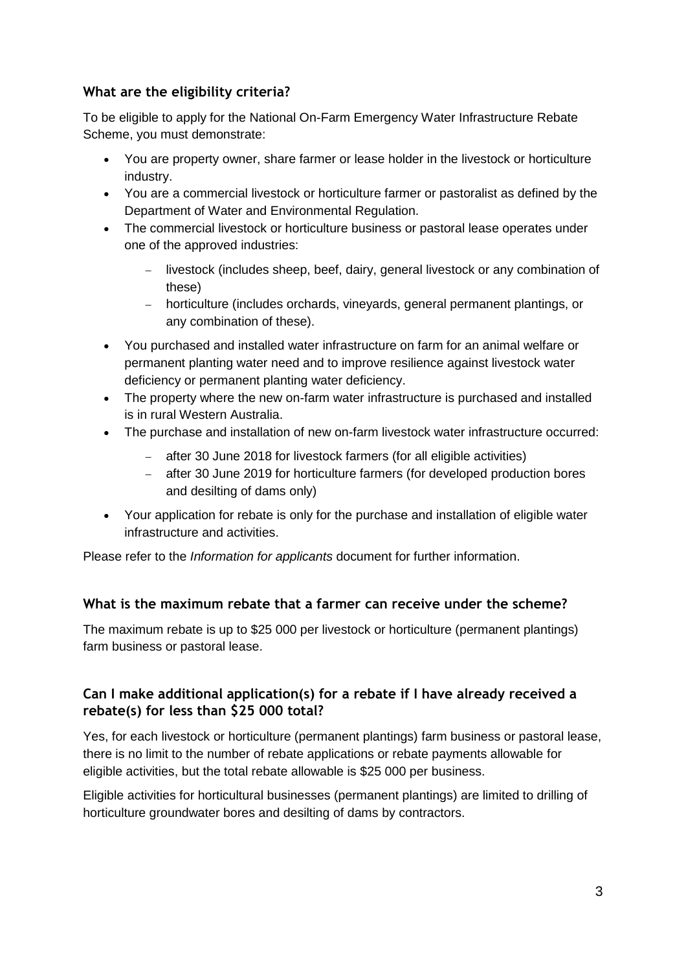## **What are the eligibility criteria?**

To be eligible to apply for the National On-Farm Emergency Water Infrastructure Rebate Scheme, you must demonstrate:

- You are property owner, share farmer or lease holder in the livestock or horticulture industry.
- You are a commercial livestock or horticulture farmer or pastoralist as defined by the Department of Water and Environmental Regulation.
- The commercial livestock or horticulture business or pastoral lease operates under one of the approved industries:
	- livestock (includes sheep, beef, dairy, general livestock or any combination of these)
	- horticulture (includes orchards, vineyards, general permanent plantings, or any combination of these).
- You purchased and installed water infrastructure on farm for an animal welfare or permanent planting water need and to improve resilience against livestock water deficiency or permanent planting water deficiency.
- The property where the new on-farm water infrastructure is purchased and installed is in rural Western Australia.
- The purchase and installation of new on-farm livestock water infrastructure occurred:
	- after 30 June 2018 for livestock farmers (for all eligible activities)
	- after 30 June 2019 for horticulture farmers (for developed production bores and desilting of dams only)
- Your application for rebate is only for the purchase and installation of eligible water infrastructure and activities.

Please refer to the *Information for applicants* document for further information.

## **What is the maximum rebate that a farmer can receive under the scheme?**

The maximum rebate is up to \$25 000 per livestock or horticulture (permanent plantings) farm business or pastoral lease.

## **Can I make additional application(s) for a rebate if I have already received a rebate(s) for less than \$25 000 total?**

Yes, for each livestock or horticulture (permanent plantings) farm business or pastoral lease, there is no limit to the number of rebate applications or rebate payments allowable for eligible activities, but the total rebate allowable is \$25 000 per business.

Eligible activities for horticultural businesses (permanent plantings) are limited to drilling of horticulture groundwater bores and desilting of dams by contractors.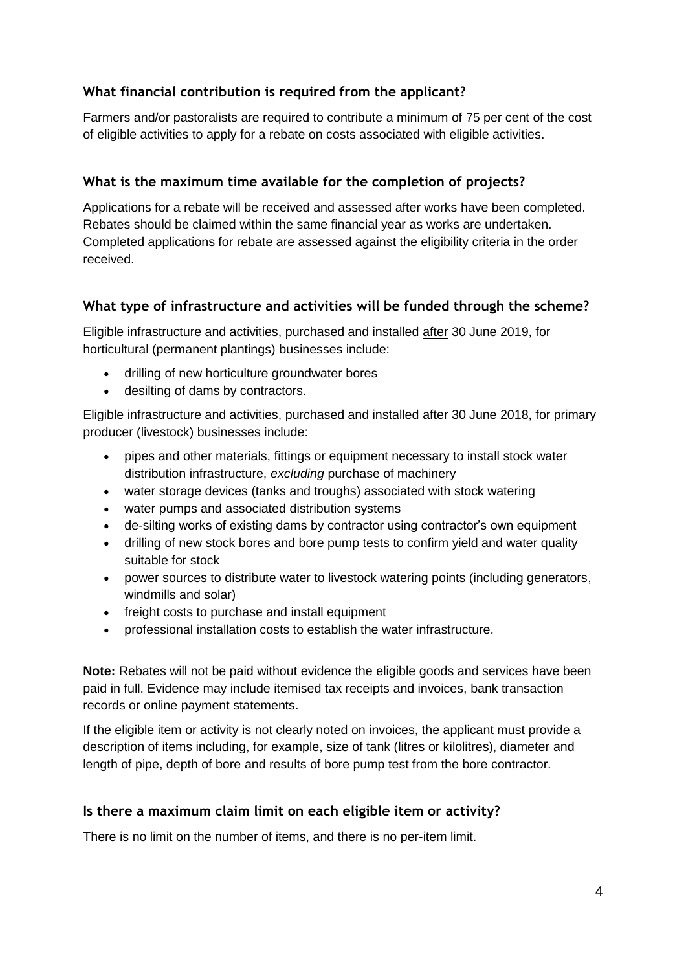## **What financial contribution is required from the applicant?**

Farmers and/or pastoralists are required to contribute a minimum of 75 per cent of the cost of eligible activities to apply for a rebate on costs associated with eligible activities.

## **What is the maximum time available for the completion of projects?**

Applications for a rebate will be received and assessed after works have been completed. Rebates should be claimed within the same financial year as works are undertaken. Completed applications for rebate are assessed against the eligibility criteria in the order received.

## **What type of infrastructure and activities will be funded through the scheme?**

Eligible infrastructure and activities, purchased and installed after 30 June 2019, for horticultural (permanent plantings) businesses include:

- drilling of new horticulture groundwater bores
- desilting of dams by contractors.

Eligible infrastructure and activities, purchased and installed after 30 June 2018, for primary producer (livestock) businesses include:

- pipes and other materials, fittings or equipment necessary to install stock water distribution infrastructure, *excluding* purchase of machinery
- water storage devices (tanks and troughs) associated with stock watering
- water pumps and associated distribution systems
- de-silting works of existing dams by contractor using contractor's own equipment
- drilling of new stock bores and bore pump tests to confirm yield and water quality suitable for stock
- power sources to distribute water to livestock watering points (including generators, windmills and solar)
- freight costs to purchase and install equipment
- professional installation costs to establish the water infrastructure.

**Note:** Rebates will not be paid without evidence the eligible goods and services have been paid in full. Evidence may include itemised tax receipts and invoices, bank transaction records or online payment statements.

If the eligible item or activity is not clearly noted on invoices, the applicant must provide a description of items including, for example, size of tank (litres or kilolitres), diameter and length of pipe, depth of bore and results of bore pump test from the bore contractor.

## **Is there a maximum claim limit on each eligible item or activity?**

There is no limit on the number of items, and there is no per-item limit.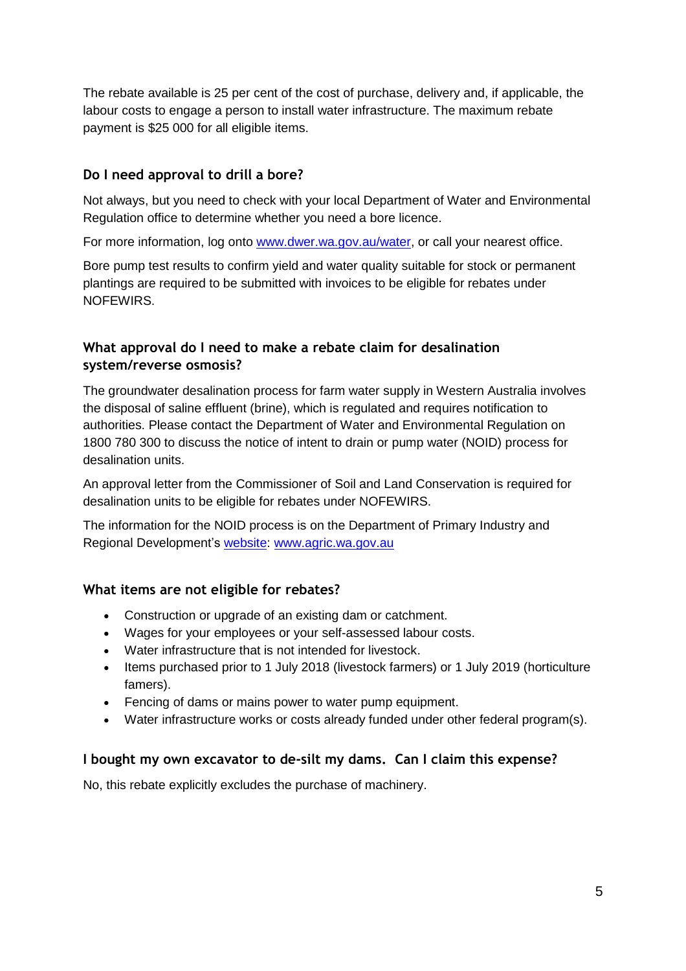The rebate available is 25 per cent of the cost of purchase, delivery and, if applicable, the labour costs to engage a person to install water infrastructure. The maximum rebate payment is \$25 000 for all eligible items.

#### **Do I need approval to drill a bore?**

Not always, but you need to check with your local Department of Water and Environmental Regulation office to determine whether you need a bore licence.

For more information, log onto [www.dwer.wa.gov.au/water,](http://www.dwer.wa.gov.au/water) or call your nearest office.

Bore pump test results to confirm yield and water quality suitable for stock or permanent plantings are required to be submitted with invoices to be eligible for rebates under NOFEWIRS.

#### **What approval do I need to make a rebate claim for desalination system/reverse osmosis?**

The groundwater desalination process for farm water supply in Western Australia involves the disposal of saline effluent (brine), which is regulated and requires notification to authorities. Please contact the Department of Water and Environmental Regulation on 1800 780 300 to discuss the notice of intent to drain or pump water (NOID) process for desalination units.

An approval letter from the Commissioner of Soil and Land Conservation is required for desalination units to be eligible for rebates under NOFEWIRS.

The information for the NOID process is on the Department of Primary Industry and Regional Development's [website:](https://www.agric.wa.gov.au/soil-salinity/groundwater-desalination-and-regulation-farm-water-supply-western-australia) [www.agric.wa.gov.au](http://www.agric.wa.gov.au/)

#### **What items are not eligible for rebates?**

- Construction or upgrade of an existing dam or catchment.
- Wages for your employees or your self-assessed labour costs.
- Water infrastructure that is not intended for livestock.
- Items purchased prior to 1 July 2018 (livestock farmers) or 1 July 2019 (horticulture famers).
- Fencing of dams or mains power to water pump equipment.
- Water infrastructure works or costs already funded under other federal program(s).

#### **I bought my own excavator to de-silt my dams. Can I claim this expense?**

No, this rebate explicitly excludes the purchase of machinery.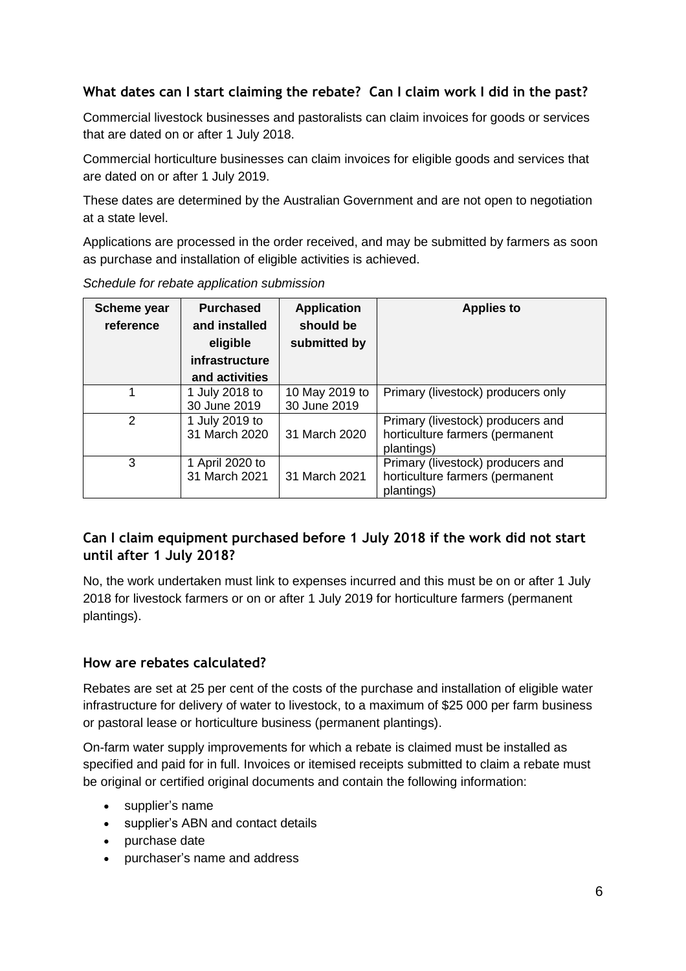## **What dates can I start claiming the rebate? Can I claim work I did in the past?**

Commercial livestock businesses and pastoralists can claim invoices for goods or services that are dated on or after 1 July 2018.

Commercial horticulture businesses can claim invoices for eligible goods and services that are dated on or after 1 July 2019.

These dates are determined by the Australian Government and are not open to negotiation at a state level.

Applications are processed in the order received, and may be submitted by farmers as soon as purchase and installation of eligible activities is achieved.

| Scheme year<br>reference | <b>Purchased</b><br>and installed<br>eligible<br>infrastructure<br>and activities | <b>Application</b><br>should be<br>submitted by | <b>Applies to</b>                                                                  |
|--------------------------|-----------------------------------------------------------------------------------|-------------------------------------------------|------------------------------------------------------------------------------------|
|                          | 1 July 2018 to<br>30 June 2019                                                    | 10 May 2019 to<br>30 June 2019                  | Primary (livestock) producers only                                                 |
| $\mathcal{P}$            | 1 July 2019 to<br>31 March 2020                                                   | 31 March 2020                                   | Primary (livestock) producers and<br>horticulture farmers (permanent<br>plantings) |
| 3                        | 1 April 2020 to<br>31 March 2021                                                  | 31 March 2021                                   | Primary (livestock) producers and<br>horticulture farmers (permanent<br>plantings) |

*Schedule for rebate application submission*

## **Can I claim equipment purchased before 1 July 2018 if the work did not start until after 1 July 2018?**

No, the work undertaken must link to expenses incurred and this must be on or after 1 July 2018 for livestock farmers or on or after 1 July 2019 for horticulture farmers (permanent plantings).

## **How are rebates calculated?**

Rebates are set at 25 per cent of the costs of the purchase and installation of eligible water infrastructure for delivery of water to livestock, to a maximum of \$25 000 per farm business or pastoral lease or horticulture business (permanent plantings).

On-farm water supply improvements for which a rebate is claimed must be installed as specified and paid for in full. Invoices or itemised receipts submitted to claim a rebate must be original or certified original documents and contain the following information:

- supplier's name
- supplier's ABN and contact details
- purchase date
- purchaser's name and address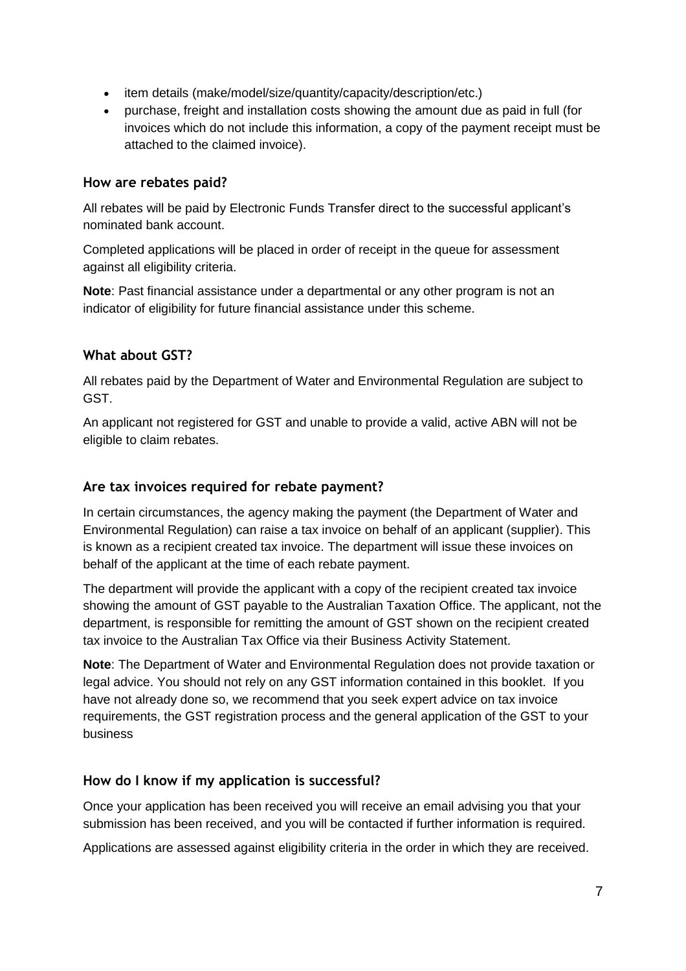- item details (make/model/size/quantity/capacity/description/etc.)
- purchase, freight and installation costs showing the amount due as paid in full (for invoices which do not include this information, a copy of the payment receipt must be attached to the claimed invoice).

#### **How are rebates paid?**

All rebates will be paid by Electronic Funds Transfer direct to the successful applicant's nominated bank account.

Completed applications will be placed in order of receipt in the queue for assessment against all eligibility criteria.

**Note**: Past financial assistance under a departmental or any other program is not an indicator of eligibility for future financial assistance under this scheme.

#### **What about GST?**

All rebates paid by the Department of Water and Environmental Regulation are subject to GST.

An applicant not registered for GST and unable to provide a valid, active ABN will not be eligible to claim rebates.

#### **Are tax invoices required for rebate payment?**

In certain circumstances, the agency making the payment (the Department of Water and Environmental Regulation) can raise a tax invoice on behalf of an applicant (supplier). This is known as a recipient created tax invoice. The department will issue these invoices on behalf of the applicant at the time of each rebate payment.

The department will provide the applicant with a copy of the recipient created tax invoice showing the amount of GST payable to the Australian Taxation Office. The applicant, not the department, is responsible for remitting the amount of GST shown on the recipient created tax invoice to the Australian Tax Office via their Business Activity Statement.

**Note**: The Department of Water and Environmental Regulation does not provide taxation or legal advice. You should not rely on any GST information contained in this booklet. If you have not already done so, we recommend that you seek expert advice on tax invoice requirements, the GST registration process and the general application of the GST to your business

## **How do I know if my application is successful?**

Once your application has been received you will receive an email advising you that your submission has been received, and you will be contacted if further information is required.

Applications are assessed against eligibility criteria in the order in which they are received.